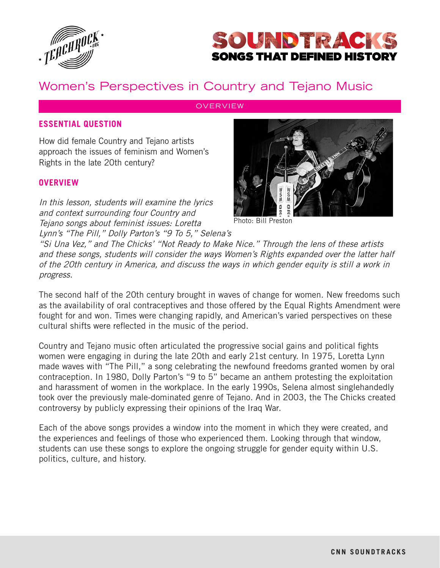



# Women's Perspectives in Country and Tejano Music

**OVERVIEW** 

#### **ESSENTIAL QUESTION**

How did female Country and Tejano artists approach the issues of feminism and Women's Rights in the late 20th century?

#### **OVERVIEW**

In this lesson, students will examine the lyrics and context surrounding four Country and Tejano songs about feminist issues: Loretta Lynn's "The Pill," Dolly Parton's "9 To 5," Selena's



Photo: Bill Preston

"Si Una Vez," and The Chicks' "Not Ready to Make Nice." Through the lens of these artists and these songs, students will consider the ways Women's Rights expanded over the latter half of the 20th century in America, and discuss the ways in which gender equity is still a work in progress.

The second half of the 20th century brought in waves of change for women. New freedoms such as the availability of oral contraceptives and those offered by the Equal Rights Amendment were fought for and won. Times were changing rapidly, and American's varied perspectives on these cultural shifts were reflected in the music of the period.

Country and Tejano music often articulated the progressive social gains and political fights women were engaging in during the late 20th and early 21st century. In 1975, Loretta Lynn made waves with "The Pill," a song celebrating the newfound freedoms granted women by oral contraception. In 1980, Dolly Parton's "9 to 5" became an anthem protesting the exploitation and harassment of women in the workplace. In the early 1990s, Selena almost singlehandedly took over the previously male-dominated genre of Tejano. And in 2003, the The Chicks created controversy by publicly expressing their opinions of the Iraq War.

Each of the above songs provides a window into the moment in which they were created, and the experiences and feelings of those who experienced them. Looking through that window, students can use these songs to explore the ongoing struggle for gender equity within U.S. politics, culture, and history.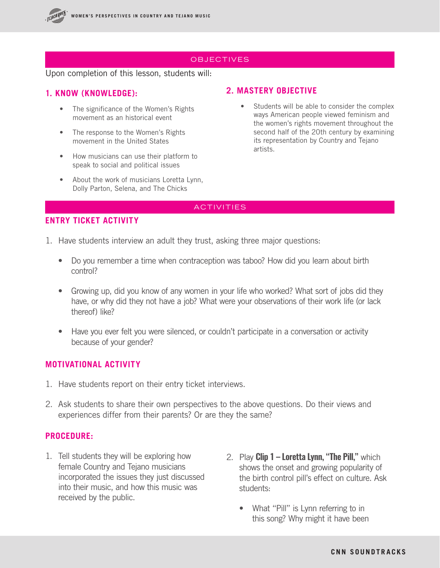# **OBJECTIVES**

# Upon completion of this lesson, students will:

# **1. KNOW (KNOWLEDGE):**

- The significance of the Women's Rights movement as an historical event
- The response to the Women's Rights movement in the United States
- How musicians can use their platform to speak to social and political issues
- About the work of musicians Loretta Lynn. Dolly Parton, Selena, and The Chicks

# **2. MASTERY OBJECTIVE**

• Students will be able to consider the complex ways American people viewed feminism and the women's rights movement throughout the second half of the 20th century by examining its representation by Country and Tejano artists.

#### ACTIVITIES

# **ENTRY TICKET ACTIVITY**

- 1. Have students interview an adult they trust, asking three major questions:
	- Do you remember a time when contraception was taboo? How did you learn about birth control?
	- Growing up, did you know of any women in your life who worked? What sort of jobs did they have, or why did they not have a job? What were your observations of their work life (or lack thereof) like?
	- Have you ever felt you were silenced, or couldn't participate in a conversation or activity because of your gender?

#### **MOTIVATIONAL ACTIVITY**

- 1. Have students report on their entry ticket interviews.
- 2. Ask students to share their own perspectives to the above questions. Do their views and experiences differ from their parents? Or are they the same?

#### **PROCEDURE:**

- 1. Tell students they will be exploring how female Country and Tejano musicians incorporated the issues they just discussed into their music, and how this music was received by the public.
- 2. Play **Clip 1 Loretta Lynn, "The Pill,"** which shows the onset and growing popularity of the birth control pill's effect on culture. Ask students:
	- What "Pill" is Lynn referring to in this song? Why might it have been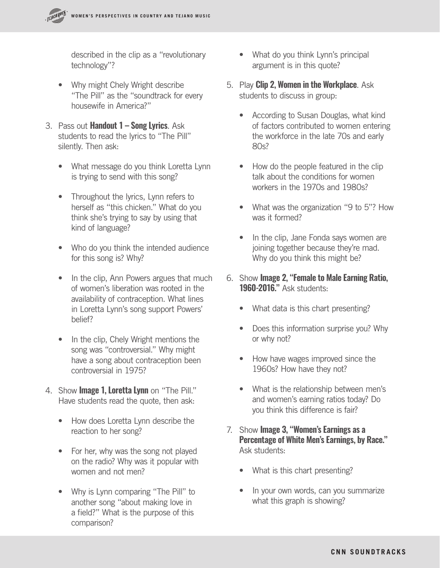described in the clip as a "revolutionary technology"?

- Why might Chely Wright describe "The Pill" as the "soundtrack for every housewife in America?"
- 3. Pass out **Handout 1 Song Lyrics**. Ask students to read the lyrics to "The Pill" silently. Then ask:
	- What message do you think Loretta Lynn is trying to send with this song?
	- Throughout the lyrics, Lynn refers to herself as "this chicken." What do you think she's trying to say by using that kind of language?
	- Who do you think the intended audience for this song is? Why?
	- In the clip, Ann Powers argues that much of women's liberation was rooted in the availability of contraception. What lines in Loretta Lynn's song support Powers' belief?
	- In the clip, Chely Wright mentions the song was "controversial." Why might have a song about contraception been controversial in 1975?
- 4. Show **Image 1, Loretta Lynn** on "The Pill." Have students read the quote, then ask:
	- How does Loretta Lynn describe the reaction to her song?
	- For her, why was the song not played on the radio? Why was it popular with women and not men?
	- Why is Lynn comparing "The Pill" to another song "about making love in a field?" What is the purpose of this comparison?
- What do you think Lynn's principal argument is in this quote?
- 5. Play **Clip 2, Women in the Workplace**. Ask students to discuss in group:
	- According to Susan Douglas, what kind of factors contributed to women entering the workforce in the late 70s and early 80s?
	- How do the people featured in the clip talk about the conditions for women workers in the 1970s and 1980s?
	- What was the organization "9 to 5"? How was it formed?
	- In the clip, Jane Fonda says women are joining together because they're mad. Why do you think this might be?
- 6. Show **Image 2, "Female to Male Earning Ratio, 1960-2016."** Ask students:
	- What data is this chart presenting?
	- Does this information surprise you? Why or why not?
	- How have wages improved since the 1960s? How have they not?
	- What is the relationship between men's and women's earning ratios today? Do you think this difference is fair?
- 7. Show **Image 3, "Women's Earnings as a Percentage of White Men's Earnings, by Race."**  Ask students:
	- What is this chart presenting?
	- In your own words, can you summarize what this graph is showing?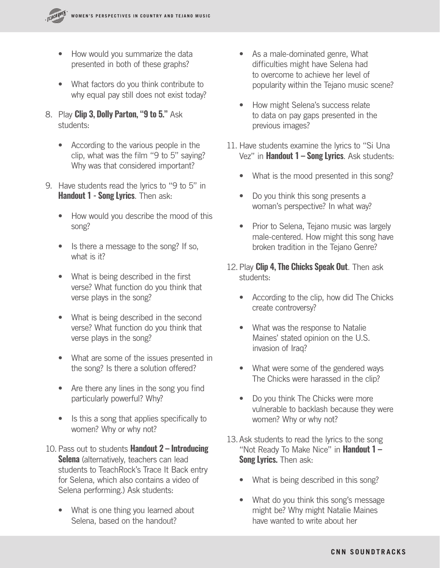- How would you summarize the data presented in both of these graphs?
- What factors do you think contribute to why equal pay still does not exist today?
- 8. Play **Clip 3, Dolly Parton, "9 to 5."** Ask students:
	- According to the various people in the clip, what was the film "9 to 5" saying? Why was that considered important?
- 9. Have students read the lyrics to "9 to 5" in **Handout 1 - Song Lyrics**. Then ask:
	- How would you describe the mood of this song?
	- Is there a message to the song? If so, what is it?
	- What is being described in the first verse? What function do you think that verse plays in the song?
	- What is being described in the second verse? What function do you think that verse plays in the song?
	- What are some of the issues presented in the song? Is there a solution offered?
	- Are there any lines in the song you find particularly powerful? Why?
	- Is this a song that applies specifically to women? Why or why not?
- 10.Pass out to students **Handout 2 Introducing Selena** (alternatively, teachers can lead students to TeachRock's Trace It Back entry for Selena, which also contains a video of Selena performing.) Ask students:
	- What is one thing you learned about Selena, based on the handout?
- As a male-dominated genre, What difficulties might have Selena had to overcome to achieve her level of popularity within the Tejano music scene?
- How might Selena's success relate to data on pay gaps presented in the previous images?
- 11. Have students examine the lyrics to "Si Una Vez" in **Handout 1 – Song Lyrics**. Ask students:
	- What is the mood presented in this song?
	- Do you think this song presents a woman's perspective? In what way?
	- Prior to Selena, Tejano music was largely male-centered. How might this song have broken tradition in the Tejano Genre?
- 12.Play **Clip 4, The Chicks Speak Out**. Then ask students:
	- According to the clip, how did The Chicks create controversy?
	- What was the response to Natalie Maines' stated opinion on the U.S. invasion of Iraq?
	- What were some of the gendered ways The Chicks were harassed in the clip?
	- Do you think The Chicks were more vulnerable to backlash because they were women? Why or why not?
- 13.Ask students to read the lyrics to the song "Not Ready To Make Nice" in **Handout 1 – Song Lyrics.** Then ask:
	- What is being described in this song?
	- What do you think this song's message might be? Why might Natalie Maines have wanted to write about her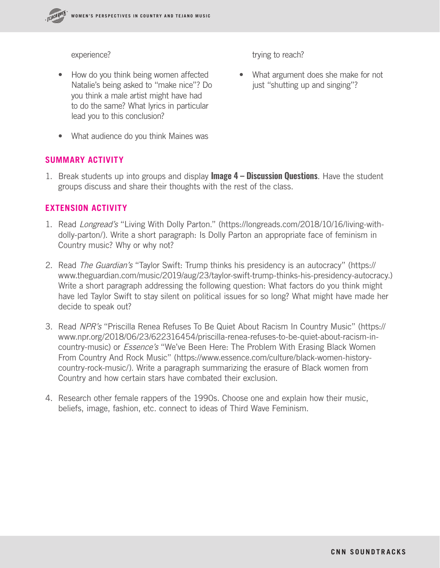experience?

- How do you think being women affected Natalie's being asked to "make nice"? Do you think a male artist might have had to do the same? What lyrics in particular lead you to this conclusion?
- What audience do you think Maines was

#### **SUMMARY ACTIVITY**

1. Break students up into groups and display **Image 4 – Discussion Questions**. Have the student groups discuss and share their thoughts with the rest of the class.

#### **EXTENSION ACTIVITY**

- 1. Read Longread's "Living With Dolly Parton." (https://longreads.com/2018/10/16/living-withdolly-parton/). Write a short paragraph: Is Dolly Parton an appropriate face of feminism in Country music? Why or why not?
- 2. Read The Guardian's "Taylor Swift: Trump thinks his presidency is an autocracy" (https:// www.theguardian.com/music/2019/aug/23/taylor-swift-trump-thinks-his-presidency-autocracy.) Write a short paragraph addressing the following question: What factors do you think might have led Taylor Swift to stay silent on political issues for so long? What might have made her decide to speak out?
- 3. Read NPR's "Priscilla Renea Refuses To Be Quiet About Racism In Country Music" (https:// www.npr.org/2018/06/23/622316454/priscilla-renea-refuses-to-be-quiet-about-racism-incountry-music) or *Essence's* "We've Been Here: The Problem With Erasing Black Women From Country And Rock Music" (https://www.essence.com/culture/black-women-historycountry-rock-music/). Write a paragraph summarizing the erasure of Black women from Country and how certain stars have combated their exclusion.
- 4. Research other female rappers of the 1990s. Choose one and explain how their music, beliefs, image, fashion, etc. connect to ideas of Third Wave Feminism.

trying to reach?

• What argument does she make for not just "shutting up and singing"?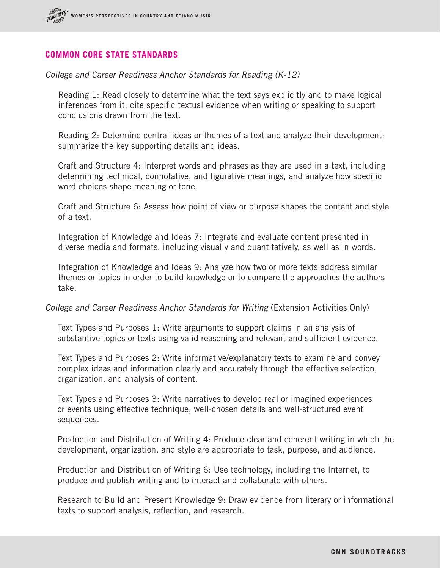### **COMMON CORE STATE STANDARDS**

College and Career Readiness Anchor Standards for Reading (K-12)

Reading 1: Read closely to determine what the text says explicitly and to make logical inferences from it; cite specific textual evidence when writing or speaking to support conclusions drawn from the text.

Reading 2: Determine central ideas or themes of a text and analyze their development; summarize the key supporting details and ideas.

Craft and Structure 4: Interpret words and phrases as they are used in a text, including determining technical, connotative, and figurative meanings, and analyze how specific word choices shape meaning or tone.

Craft and Structure 6: Assess how point of view or purpose shapes the content and style of a text.

Integration of Knowledge and Ideas 7: Integrate and evaluate content presented in diverse media and formats, including visually and quantitatively, as well as in words.

Integration of Knowledge and Ideas 9: Analyze how two or more texts address similar themes or topics in order to build knowledge or to compare the approaches the authors take.

College and Career Readiness Anchor Standards for Writing (Extension Activities Only)

Text Types and Purposes 1: Write arguments to support claims in an analysis of substantive topics or texts using valid reasoning and relevant and sufficient evidence.

Text Types and Purposes 2: Write informative/explanatory texts to examine and convey complex ideas and information clearly and accurately through the effective selection, organization, and analysis of content.

Text Types and Purposes 3: Write narratives to develop real or imagined experiences or events using effective technique, well-chosen details and well-structured event sequences.

Production and Distribution of Writing 4: Produce clear and coherent writing in which the development, organization, and style are appropriate to task, purpose, and audience.

Production and Distribution of Writing 6: Use technology, including the Internet, to produce and publish writing and to interact and collaborate with others.

Research to Build and Present Knowledge 9: Draw evidence from literary or informational texts to support analysis, reflection, and research.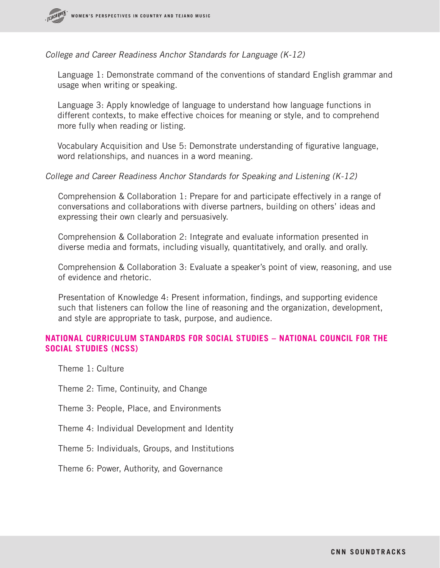College and Career Readiness Anchor Standards for Language (K-12)

Language 1: Demonstrate command of the conventions of standard English grammar and usage when writing or speaking.

Language 3: Apply knowledge of language to understand how language functions in different contexts, to make effective choices for meaning or style, and to comprehend more fully when reading or listing.

Vocabulary Acquisition and Use 5: Demonstrate understanding of figurative language, word relationships, and nuances in a word meaning.

College and Career Readiness Anchor Standards for Speaking and Listening (K-12)

Comprehension & Collaboration 1: Prepare for and participate effectively in a range of conversations and collaborations with diverse partners, building on others' ideas and expressing their own clearly and persuasively.

Comprehension & Collaboration 2: Integrate and evaluate information presented in diverse media and formats, including visually, quantitatively, and orally. and orally.

Comprehension & Collaboration 3: Evaluate a speaker's point of view, reasoning, and use of evidence and rhetoric.

Presentation of Knowledge 4: Present information, findings, and supporting evidence such that listeners can follow the line of reasoning and the organization, development, and style are appropriate to task, purpose, and audience.

# **NATIONAL CURRICULUM STANDARDS FOR SOCIAL STUDIES – NATIONAL COUNCIL FOR THE SOCIAL STUDIES (NCSS)**

Theme 1: Culture

Theme 2: Time, Continuity, and Change

Theme 3: People, Place, and Environments

Theme 4: Individual Development and Identity

Theme 5: Individuals, Groups, and Institutions

Theme 6: Power, Authority, and Governance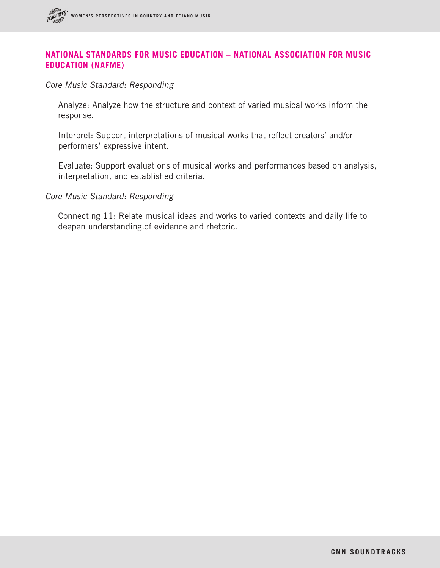#### **NATIONAL STANDARDS FOR MUSIC EDUCATION – NATIONAL ASSOCIATION FOR MUSIC EDUCATION (NAFME)**

Core Music Standard: Responding

Analyze: Analyze how the structure and context of varied musical works inform the response.

Interpret: Support interpretations of musical works that reflect creators' and/or performers' expressive intent.

Evaluate: Support evaluations of musical works and performances based on analysis, interpretation, and established criteria.

Core Music Standard: Responding

Connecting 11: Relate musical ideas and works to varied contexts and daily life to deepen understanding.of evidence and rhetoric.